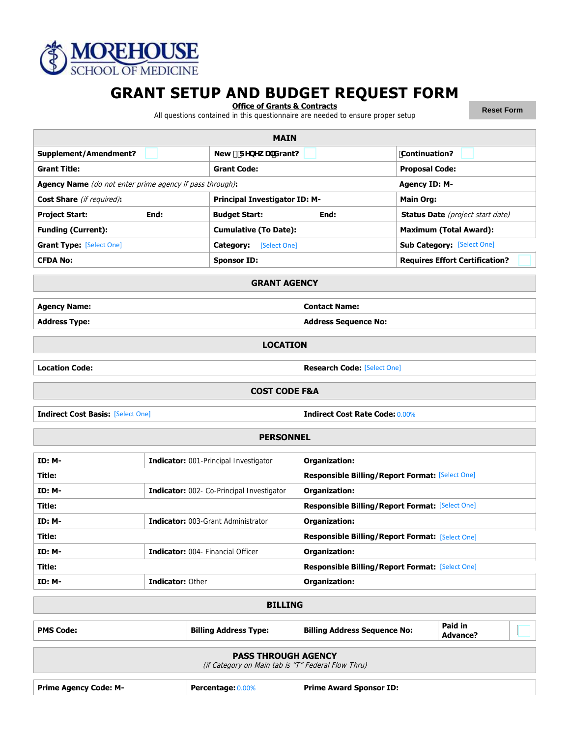

## **GRANT SETUP AND BUDGET REQUEST FORM**

**Office of Grants & Contracts** 

All questions contained in this questionnaire are needed to ensure proper setup

**Reset Form**

| <b>MAIN</b>                                                                      |                                                                                   |                              |                                                               |                                         |  |  |
|----------------------------------------------------------------------------------|-----------------------------------------------------------------------------------|------------------------------|---------------------------------------------------------------|-----------------------------------------|--|--|
| <b>Supplement/Amendment?</b>                                                     |                                                                                   | New #FYbYk U Grant?          |                                                               | <b>Continuation?</b>                    |  |  |
| <b>Grant Title:</b>                                                              |                                                                                   | <b>Grant Code:</b>           |                                                               | <b>Proposal Code:</b>                   |  |  |
| Agency Name (do not enter prime agency if pass through):                         |                                                                                   |                              |                                                               | <b>Agency ID: M-</b>                    |  |  |
| Cost Share (if required):<br><b>Principal Investigator ID: M-</b>                |                                                                                   |                              |                                                               | <b>Main Org:</b>                        |  |  |
| <b>Project Start:</b>                                                            | End:                                                                              | <b>Budget Start:</b>         | End:                                                          | <b>Status Date</b> (project start date) |  |  |
| <b>Funding (Current):</b>                                                        |                                                                                   |                              | <b>Cumulative (To Date):</b><br><b>Maximum (Total Award):</b> |                                         |  |  |
| <b>Grant Type: [Select One]</b>                                                  |                                                                                   | Category:                    | <b>Sub Category: [Select One]</b><br>[Select One]             |                                         |  |  |
| <b>CFDA No:</b>                                                                  |                                                                                   | <b>Sponsor ID:</b>           |                                                               | <b>Requires Effort Certification?</b>   |  |  |
|                                                                                  |                                                                                   | <b>GRANT AGENCY</b>          |                                                               |                                         |  |  |
| <b>Agency Name:</b>                                                              |                                                                                   |                              | <b>Contact Name:</b>                                          |                                         |  |  |
| <b>Address Type:</b>                                                             |                                                                                   |                              | <b>Address Sequence No:</b>                                   |                                         |  |  |
| <b>LOCATION</b>                                                                  |                                                                                   |                              |                                                               |                                         |  |  |
| <b>Location Code:</b>                                                            |                                                                                   |                              | <b>Research Code: [Select One]</b>                            |                                         |  |  |
| <b>COST CODE F&amp;A</b>                                                         |                                                                                   |                              |                                                               |                                         |  |  |
|                                                                                  | <b>Indirect Cost Basis: [Select One]</b><br><b>Indirect Cost Rate Code: 0.00%</b> |                              |                                                               |                                         |  |  |
|                                                                                  |                                                                                   | <b>PERSONNEL</b>             |                                                               |                                         |  |  |
| <b>ID: M-</b>                                                                    | Organization:<br>Indicator: 001-Principal Investigator                            |                              |                                                               |                                         |  |  |
| Title:                                                                           |                                                                                   |                              | <b>Responsible Billing/Report Format: [Select One]</b>        |                                         |  |  |
| <b>ID: M-</b><br>Indicator: 002- Co-Principal Investigator                       |                                                                                   |                              | Organization:                                                 |                                         |  |  |
| Title:                                                                           |                                                                                   |                              | <b>Responsible Billing/Report Format: [Select One]</b>        |                                         |  |  |
| <b>ID: M-</b><br><b>Indicator: 003-Grant Administrator</b>                       |                                                                                   |                              | Organization:                                                 |                                         |  |  |
| Title:                                                                           |                                                                                   |                              | Responsible Billing/Report Format: [Select One]               |                                         |  |  |
| ID: M<br>Indicator: 004- Financial Officer                                       |                                                                                   | <b>Organization:</b>         |                                                               |                                         |  |  |
| Title:                                                                           |                                                                                   |                              | <b>Responsible Billing/Report Format: [Select One]</b>        |                                         |  |  |
| <b>ID: M-</b><br>Indicator: Other                                                |                                                                                   |                              | Organization:                                                 |                                         |  |  |
| <b>BILLING</b>                                                                   |                                                                                   |                              |                                                               |                                         |  |  |
| <b>PMS Code:</b>                                                                 |                                                                                   | <b>Billing Address Type:</b> | <b>Billing Address Sequence No:</b>                           | <b>Paid in</b><br><b>Advance?</b>       |  |  |
| <b>PASS THROUGH AGENCY</b><br>(if Category on Main tab is "T" Federal Flow Thru) |                                                                                   |                              |                                                               |                                         |  |  |
| <b>Prime Agency Code: M-</b>                                                     |                                                                                   | Percentage: 0.00%            | <b>Prime Award Sponsor ID:</b>                                |                                         |  |  |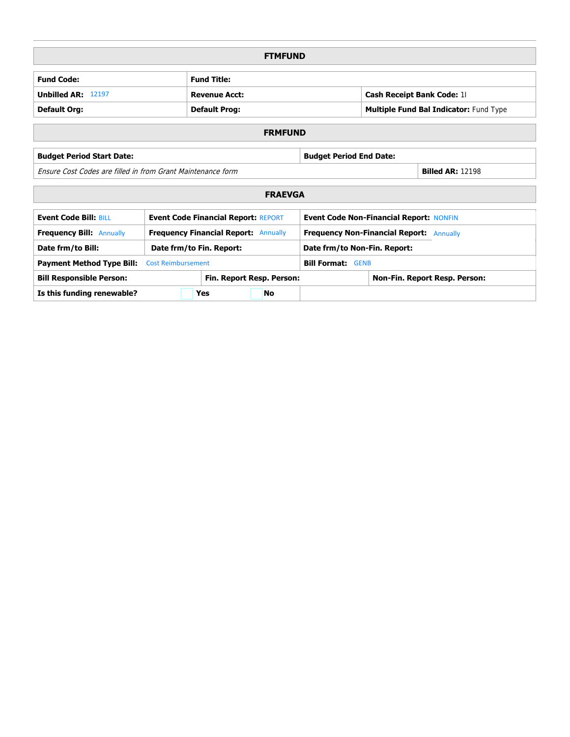| <b>FTMFUND</b> |  |
|----------------|--|
|                |  |
|                |  |

<u> Tanzania (h. 1878).</u>

|                                  | <u>FIMFUND</u>                                              |                                                |                                        |  |  |
|----------------------------------|-------------------------------------------------------------|------------------------------------------------|----------------------------------------|--|--|
| <b>Fund Code:</b>                | <b>Fund Title:</b>                                          |                                                |                                        |  |  |
| <b>Unbilled AR: 12197</b>        | <b>Revenue Acct:</b>                                        |                                                | Cash Receipt Bank Code: 11             |  |  |
| <b>Default Org:</b>              | <b>Default Prog:</b>                                        |                                                | Multiple Fund Bal Indicator: Fund Type |  |  |
|                                  | <b>FRMFUND</b>                                              |                                                |                                        |  |  |
| <b>Budget Period Start Date:</b> |                                                             | <b>Budget Period End Date:</b>                 |                                        |  |  |
|                                  | Ensure Cost Codes are filled in from Grant Maintenance form |                                                | <b>Billed AR: 12198</b>                |  |  |
|                                  | <b>FRAEVGA</b>                                              |                                                |                                        |  |  |
| <b>Event Code Bill: BILL</b>     | <b>Event Code Financial Report: REPORT</b>                  | <b>Event Code Non-Financial Report: NONFIN</b> |                                        |  |  |
| <b>Frequency Bill: Annually</b>  | <b>Frequency Financial Report:</b><br>Annually              | <b>Frequency Non-Financial Report:</b>         | Annually                               |  |  |
| .                                | _ _ _ _ _ _                                                 |                                                |                                        |  |  |

| Date frm/to Bill:                                   | Date frm/to Fin. Report: |                           |           | Date frm/to Non-Fin. Report: |                                      |  |
|-----------------------------------------------------|--------------------------|---------------------------|-----------|------------------------------|--------------------------------------|--|
| <b>Payment Method Type Bill:</b> Cost Reimbursement |                          |                           |           | <b>Bill Format: GENB</b>     |                                      |  |
| <b>Bill Responsible Person:</b>                     |                          | Fin. Report Resp. Person: |           |                              | <b>Non-Fin. Report Resp. Person:</b> |  |
| Is this funding renewable?                          |                          | Yes                       | <b>No</b> |                              |                                      |  |